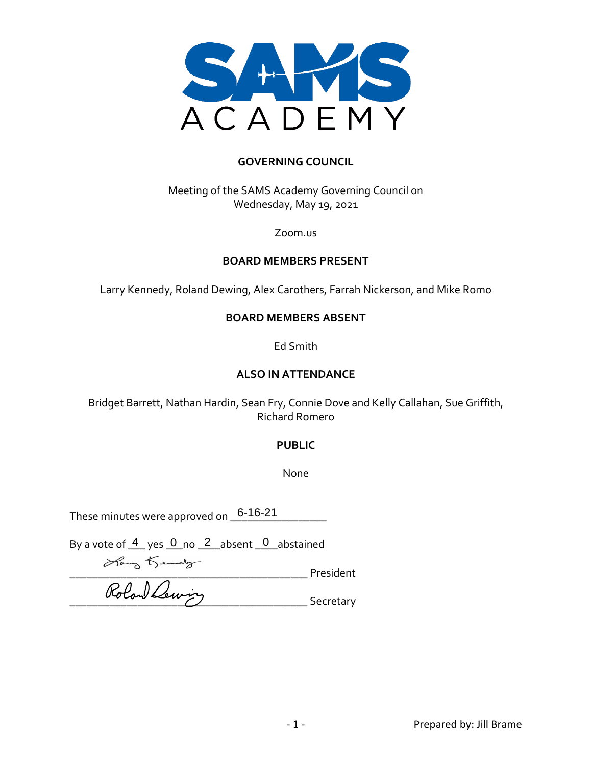

### **GOVERNING COUNCIL**

## Meeting of the SAMS Academy Governing Council on Wednesday, May 19, 2021

#### Zoom.us

### **BOARD MEMBERS PRESENT**

Larry Kennedy, Roland Dewing, Alex Carothers, Farrah Nickerson, and Mike Romo

### **BOARD MEMBERS ABSENT**

Ed Smith

### **ALSO IN ATTENDANCE**

Bridget Barrett, Nathan Hardin, Sean Fry, Connie Dove and Kelly Callahan, Sue Griffith, Richard Romero

#### **PUBLIC**

None

These minutes were approved on  $\overline{\phantom{0}6\cdot 16\cdot 21}$   $\overline{\phantom{0}0\cdot 16\cdot 21}$   $\overline{\phantom{0}0\cdot 16\cdot 21}$ 

By a vote of  $\frac{4}{ }$  yes  $\frac{0}{ }$  no  $\frac{2}{ }$  absent  $\frac{0}{ }$  abstained

Hours Kenners<br>Rolan Lewing Secretary \_\_\_\_\_\_\_\_\_\_\_\_\_\_\_\_\_\_\_\_\_\_\_\_\_\_\_\_\_\_\_\_\_\_\_\_\_\_\_\_\_\_ Secretary

- 1 - Prepared by: Jill Brame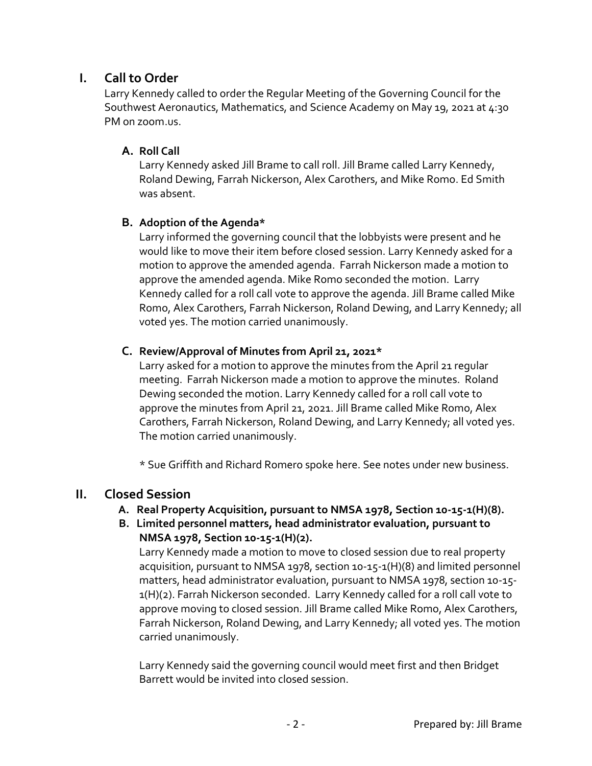# **I. Call to Order**

Larry Kennedy called to order the Regular Meeting of the Governing Council for the Southwest Aeronautics, Mathematics, and Science Academy on May 19, 2021 at 4:30 PM on zoom.us.

## **A. Roll Call**

Larry Kennedy asked Jill Brame to call roll. Jill Brame called Larry Kennedy, Roland Dewing, Farrah Nickerson, Alex Carothers, and Mike Romo. Ed Smith was absent.

## **B. Adoption of the Agenda\***

Larry informed the governing council that the lobbyists were present and he would like to move their item before closed session. Larry Kennedy asked for a motion to approve the amended agenda. Farrah Nickerson made a motion to approve the amended agenda. Mike Romo seconded the motion. Larry Kennedy called for a roll call vote to approve the agenda. Jill Brame called Mike Romo, Alex Carothers, Farrah Nickerson, Roland Dewing, and Larry Kennedy; all voted yes. The motion carried unanimously.

### **C. Review/Approval of Minutes from April 21, 2021\***

Larry asked for a motion to approve the minutes from the April 21 regular meeting. Farrah Nickerson made a motion to approve the minutes. Roland Dewing seconded the motion. Larry Kennedy called for a roll call vote to approve the minutes from April 21, 2021. Jill Brame called Mike Romo, Alex Carothers, Farrah Nickerson, Roland Dewing, and Larry Kennedy; all voted yes. The motion carried unanimously.

\* Sue Griffith and Richard Romero spoke here. See notes under new business.

# **II. Closed Session**

- **A. Real Property Acquisition, pursuant to NMSA 1978, Section 10-15-1(H)(8).**
- **B. Limited personnel matters, head administrator evaluation, pursuant to NMSA 1978, Section 10-15-1(H)(2).**

Larry Kennedy made a motion to move to closed session due to real property acquisition, pursuant to NMSA 1978, section 10-15-1(H)(8) and limited personnel matters, head administrator evaluation, pursuant to NMSA 1978, section 10-15- 1(H)(2). Farrah Nickerson seconded. Larry Kennedy called for a roll call vote to approve moving to closed session. Jill Brame called Mike Romo, Alex Carothers, Farrah Nickerson, Roland Dewing, and Larry Kennedy; all voted yes. The motion carried unanimously.

Larry Kennedy said the governing council would meet first and then Bridget Barrett would be invited into closed session.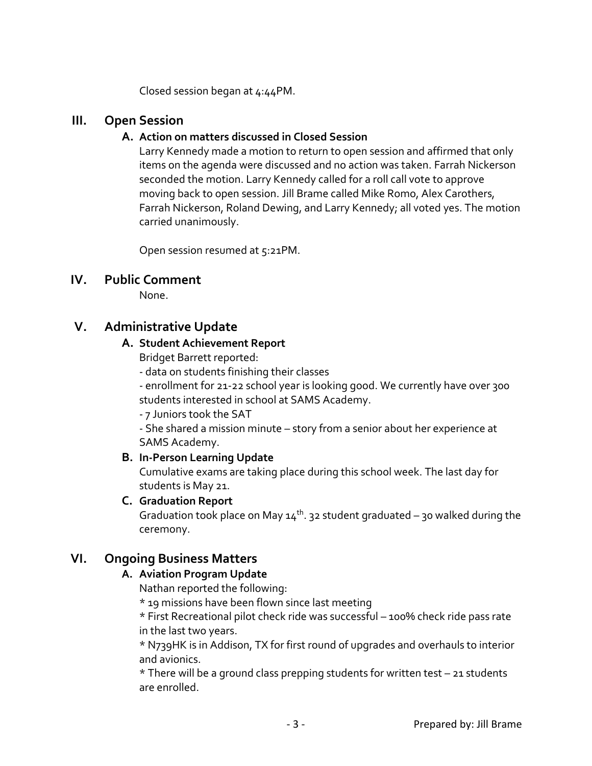Closed session began at 4:44PM.

# **III. Open Session**

## **A. Action on matters discussed in Closed Session**

Larry Kennedy made a motion to return to open session and affirmed that only items on the agenda were discussed and no action was taken. Farrah Nickerson seconded the motion. Larry Kennedy called for a roll call vote to approve moving back to open session. Jill Brame called Mike Romo, Alex Carothers, Farrah Nickerson, Roland Dewing, and Larry Kennedy; all voted yes. The motion carried unanimously.

Open session resumed at 5:21PM.

# **IV. Public Comment**

None.

# **V. Administrative Update**

### **A. Student Achievement Report**

Bridget Barrett reported:

- data on students finishing their classes

- enrollment for 21-22 school year is looking good. We currently have over 300 students interested in school at SAMS Academy.

- 7 Juniors took the SAT

- She shared a mission minute – story from a senior about her experience at SAMS Academy.

### **B. In-Person Learning Update**

Cumulative exams are taking place during this school week. The last day for students is May 21.

### **C. Graduation Report**

Graduation took place on May  $14^{th}$ . 32 student graduated – 30 walked during the ceremony.

# **VI. Ongoing Business Matters**

### **A. Aviation Program Update**

Nathan reported the following:

\* 19 missions have been flown since last meeting

\* First Recreational pilot check ride was successful – 100% check ride pass rate in the last two years.

\* N739HK is in Addison, TX for first round of upgrades and overhauls to interior and avionics.

\* There will be a ground class prepping students for written test – 21 students are enrolled.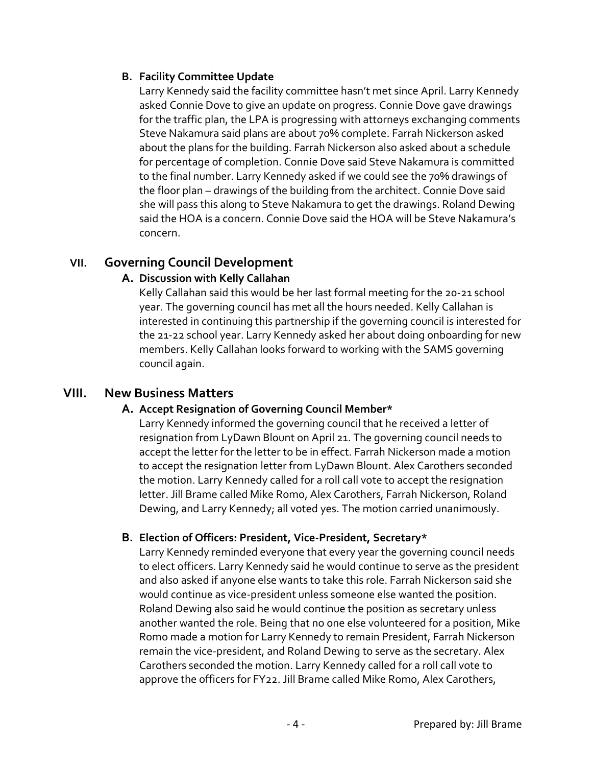### **B. Facility Committee Update**

Larry Kennedy said the facility committee hasn't met since April. Larry Kennedy asked Connie Dove to give an update on progress. Connie Dove gave drawings for the traffic plan, the LPA is progressing with attorneys exchanging comments Steve Nakamura said plans are about 70% complete. Farrah Nickerson asked about the plans for the building. Farrah Nickerson also asked about a schedule for percentage of completion. Connie Dove said Steve Nakamura is committed to the final number. Larry Kennedy asked if we could see the 70% drawings of the floor plan – drawings of the building from the architect. Connie Dove said she will pass this along to Steve Nakamura to get the drawings. Roland Dewing said the HOA is a concern. Connie Dove said the HOA will be Steve Nakamura's concern.

# **VII. Governing Council Development**

## **A. Discussion with Kelly Callahan**

Kelly Callahan said this would be her last formal meeting for the 20-21 school year. The governing council has met all the hours needed. Kelly Callahan is interested in continuing this partnership if the governing council is interested for the 21-22 school year. Larry Kennedy asked her about doing onboarding for new members. Kelly Callahan looks forward to working with the SAMS governing council again.

### **VIII. New Business Matters**

### **A. Accept Resignation of Governing Council Member\***

Larry Kennedy informed the governing council that he received a letter of resignation from LyDawn Blount on April 21. The governing council needs to accept the letter for the letter to be in effect. Farrah Nickerson made a motion to accept the resignation letter from LyDawn Blount. Alex Carothers seconded the motion. Larry Kennedy called for a roll call vote to accept the resignation letter. Jill Brame called Mike Romo, Alex Carothers, Farrah Nickerson, Roland Dewing, and Larry Kennedy; all voted yes. The motion carried unanimously.

### **B. Election of Officers: President, Vice-President, Secretary\***

Larry Kennedy reminded everyone that every year the governing council needs to elect officers. Larry Kennedy said he would continue to serve as the president and also asked if anyone else wants to take this role. Farrah Nickerson said she would continue as vice-president unless someone else wanted the position. Roland Dewing also said he would continue the position as secretary unless another wanted the role. Being that no one else volunteered for a position, Mike Romo made a motion for Larry Kennedy to remain President, Farrah Nickerson remain the vice-president, and Roland Dewing to serve as the secretary. Alex Carothers seconded the motion. Larry Kennedy called for a roll call vote to approve the officers for FY22. Jill Brame called Mike Romo, Alex Carothers,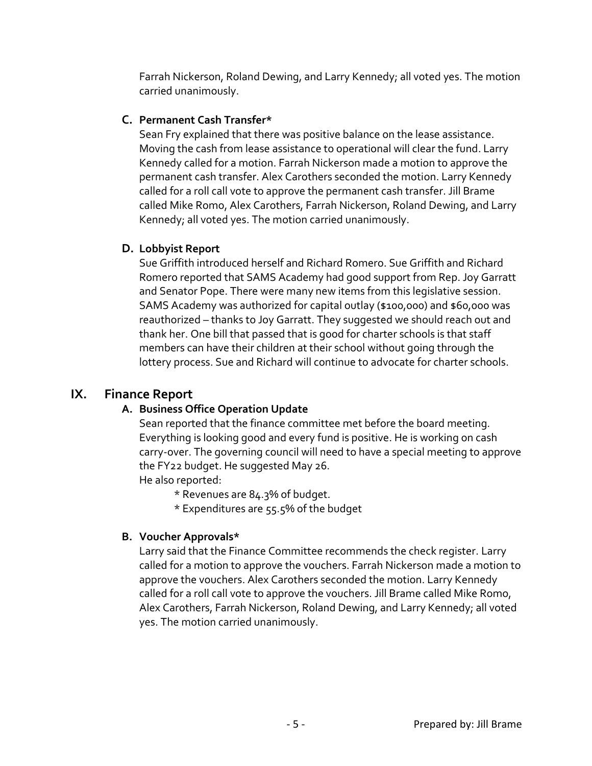Farrah Nickerson, Roland Dewing, and Larry Kennedy; all voted yes. The motion carried unanimously.

## **C. Permanent Cash Transfer\***

Sean Fry explained that there was positive balance on the lease assistance. Moving the cash from lease assistance to operational will clear the fund. Larry Kennedy called for a motion. Farrah Nickerson made a motion to approve the permanent cash transfer. Alex Carothers seconded the motion. Larry Kennedy called for a roll call vote to approve the permanent cash transfer. Jill Brame called Mike Romo, Alex Carothers, Farrah Nickerson, Roland Dewing, and Larry Kennedy; all voted yes. The motion carried unanimously.

## **D. Lobbyist Report**

Sue Griffith introduced herself and Richard Romero. Sue Griffith and Richard Romero reported that SAMS Academy had good support from Rep. Joy Garratt and Senator Pope. There were many new items from this legislative session. SAMS Academy was authorized for capital outlay (\$100,000) and \$60,000 was reauthorized – thanks to Joy Garratt. They suggested we should reach out and thank her. One bill that passed that is good for charter schools is that staff members can have their children at their school without going through the lottery process. Sue and Richard will continue to advocate for charter schools.

# **IX. Finance Report**

### **A. Business Office Operation Update**

Sean reported that the finance committee met before the board meeting. Everything is looking good and every fund is positive. He is working on cash carry-over. The governing council will need to have a special meeting to approve the FY22 budget. He suggested May 26. He also reported:

\* Revenues are 84.3% of budget.

\* Expenditures are 55.5% of the budget

### **B. Voucher Approvals\***

Larry said that the Finance Committee recommends the check register. Larry called for a motion to approve the vouchers. Farrah Nickerson made a motion to approve the vouchers. Alex Carothers seconded the motion. Larry Kennedy called for a roll call vote to approve the vouchers. Jill Brame called Mike Romo, Alex Carothers, Farrah Nickerson, Roland Dewing, and Larry Kennedy; all voted yes. The motion carried unanimously.